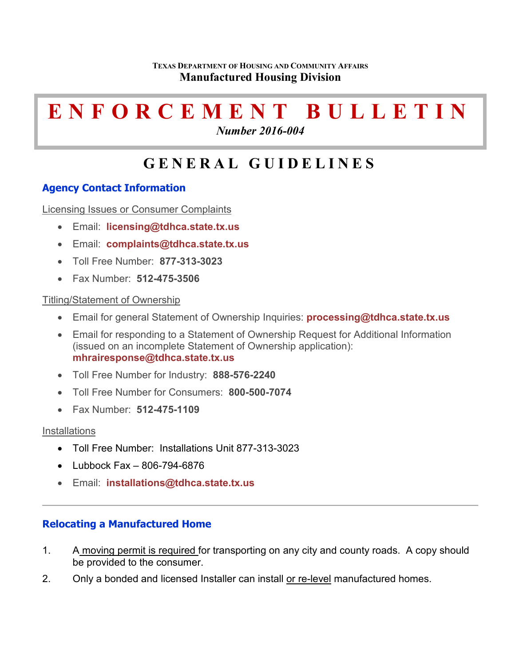#### **TEXAS DEPARTMENT OF HOUSING AND COMMUNITY AFFAIRS Manufactured Housing Division**

# **ENFORCEMENT BULLETIN**

*Number 2016-004*

# **GENERAL GUIDELINES**

# **Agency Contact Information**

Licensing Issues or Consumer Complaints

- Email: **[licensing@tdhca.state.tx.us](mailto:licensing@tdhca.state.tx.us)**
- Email: **[complaints@tdhca.state.tx.us](mailto:complaints@tdhca.state.tx.us)**
- Toll Free Number: **877-313-3023**
- Fax Number: **512-475-3506**

# Titling/Statement of Ownership

- Email for general Statement of Ownership Inquiries: **[processing@tdhca.state.tx.us](mailto:processing@tdhca.state.tx.us)**
- Email for responding to a Statement of Ownership Request for Additional Information (issued on an incomplete Statement of Ownership application): **[mhrairesponse@tdhca.state.tx.us](mailto:mhrairesponse@tdhca.state.tx.us)**
- Toll Free Number for Industry: **888-576-2240**
- Toll Free Number for Consumers: **800-500-7074**
- Fax Number: **512-475-1109**

# **Installations**

- Toll Free Number: Installations Unit 877-313-3023
- Lubbock Fax 806-794-6876
- Email: **[installations@tdhca.state.tx.us](mailto:installations@tdhca.state.tx.us)**

# **Relocating a Manufactured Home**

- 1. A moving permit is required for transporting on any city and county roads. A copy should be provided to the consumer.
- 2. Only a bonded and licensed Installer can install or re-level manufactured homes.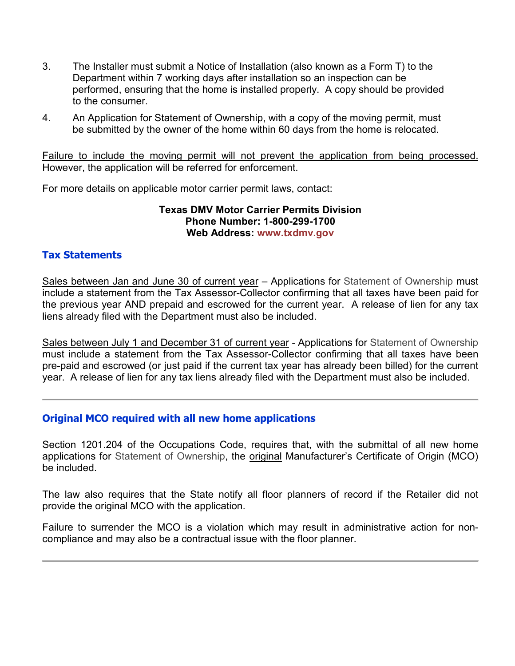- 3. The Installer must submit a Notice of Installation (also known as a Form T) to the Department within 7 working days after installation so an inspection can be performed, ensuring that the home is installed properly. A copy should be provided to the consumer.
- 4. An Application for Statement of Ownership, with a copy of the moving permit, must be submitted by the owner of the home within 60 days from the home is relocated.

Failure to include the moving permit will not prevent the application from being processed. However, the application will be referred for enforcement.

For more details on applicable motor carrier permit laws, contact:

#### **Texas DMV Motor Carrier Permits Division Phone Number: 1-800-299-1700 Web Address: www.txdmv.gov**

# **Tax Statements**

Sales between Jan and June 30 of current year – Applications for Statement of Ownership must include a statement from the Tax Assessor-Collector confirming that all taxes have been paid for the previous year AND prepaid and escrowed for the current year. A release of lien for any tax liens already filed with the Department must also be included.

Sales between July 1 and December 31 of current year - Applications for Statement of Ownership must include a statement from the Tax Assessor-Collector confirming that all taxes have been pre-paid and escrowed (or just paid if the current tax year has already been billed) for the current year. A release of lien for any tax liens already filed with the Department must also be included.

# **Original MCO required with all new home applications**

Section 1201.204 of the Occupations Code, requires that, with the submittal of all new home applications for Statement of Ownership, the **original Manufacturer's Certificate of Origin (MCO)** be included.

The law also requires that the State notify all floor planners of record if the Retailer did not provide the original MCO with the application.

Failure to surrender the MCO is a violation which may result in administrative action for noncompliance and may also be a contractual issue with the floor planner.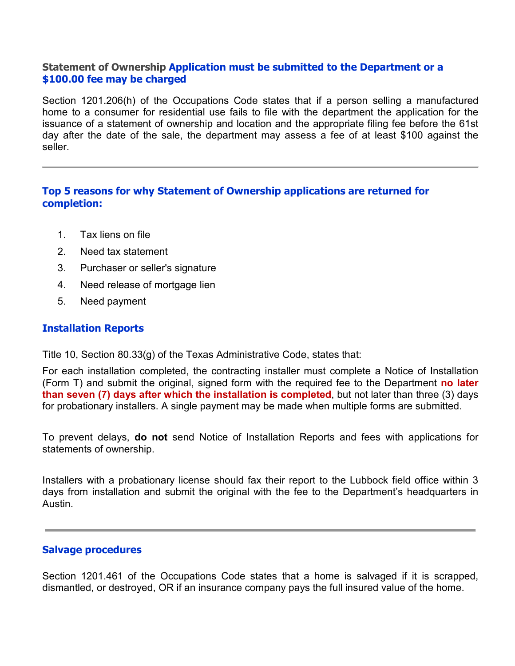#### **Statement of Ownership Application must be submitted to the Department or a \$100.00 fee may be charged**

Section 1201.206(h) of the Occupations Code states that if a person selling a manufactured home to a consumer for residential use fails to file with the department the application for the issuance of a statement of ownership and location and the appropriate filing fee before the 61st day after the date of the sale, the department may assess a fee of at least \$100 against the seller.

# **Top 5 reasons for why Statement of Ownership applications are returned for completion:**

- 1. Tax liens on file
- 2. Need tax statement
- 3. Purchaser or seller's signature
- 4. Need release of mortgage lien
- 5. Need payment

#### **Installation Reports**

Title 10, Section 80.33(g) of the Texas Administrative Code, states that:

For each installation completed, the contracting installer must complete a Notice of Installation (Form T) and submit the original, signed form with the required fee to the Department **no later than seven (7) days after which the installation is completed**, but not later than three (3) days for probationary installers. A single payment may be made when multiple forms are submitted.

To prevent delays, **do not** send Notice of Installation Reports and fees with applications for statements of ownership.

Installers with a probationary license should fax their report to the Lubbock field office within 3 days from installation and submit the original with the fee to the Department's headquarters in Austin.

#### **Salvage procedures**

Section 1201.461 of the Occupations Code states that a home is salvaged if it is scrapped, dismantled, or destroyed, OR if an insurance company pays the full insured value of the home.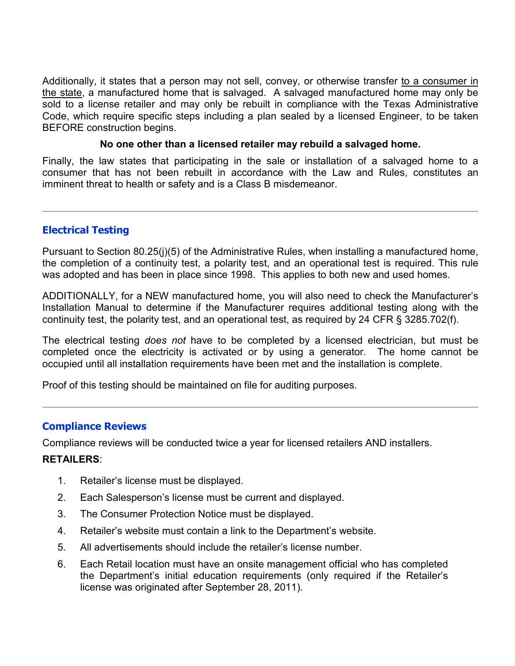Additionally, it states that a person may not sell, convey, or otherwise transfer to a consumer in the state, a manufactured home that is salvaged. A salvaged manufactured home may only be sold to a license retailer and may only be rebuilt in compliance with the Texas Administrative Code, which require specific steps including a plan sealed by a licensed Engineer, to be taken BEFORE construction begins.

#### **No one other than a licensed retailer may rebuild a salvaged home.**

Finally, the law states that participating in the sale or installation of a salvaged home to a consumer that has not been rebuilt in accordance with the Law and Rules, constitutes an imminent threat to health or safety and is a Class B misdemeanor.

#### **Electrical Testing**

Pursuant to Section 80.25(j)(5) of the Administrative Rules, when installing a manufactured home, the completion of a continuity test, a polarity test, and an operational test is required. This rule was adopted and has been in place since 1998. This applies to both new and used homes.

ADDITIONALLY, for a NEW manufactured home, you will also need to check the Manufacturer's Installation Manual to determine if the Manufacturer requires additional testing along with the continuity test, the polarity test, and an operational test, as required by 24 CFR § 3285.702(f).

The electrical testing *does not* have to be completed by a licensed electrician, but must be completed once the electricity is activated or by using a generator. The home cannot be occupied until all installation requirements have been met and the installation is complete.

Proof of this testing should be maintained on file for auditing purposes.

# **Compliance Reviews**

Compliance reviews will be conducted twice a year for licensed retailers AND installers.

#### **RETAILERS**:

- 1. Retailer's license must be displayed.
- 2. Each Salesperson's license must be current and displayed.
- 3. The Consumer Protection Notice must be displayed.
- 4. Retailer's website must contain a link to the Department's website.
- 5. All advertisements should include the retailer's license number.
- 6. Each Retail location must have an onsite management official who has completed the Department's initial education requirements (only required if the Retailer's license was originated after September 28, 2011).